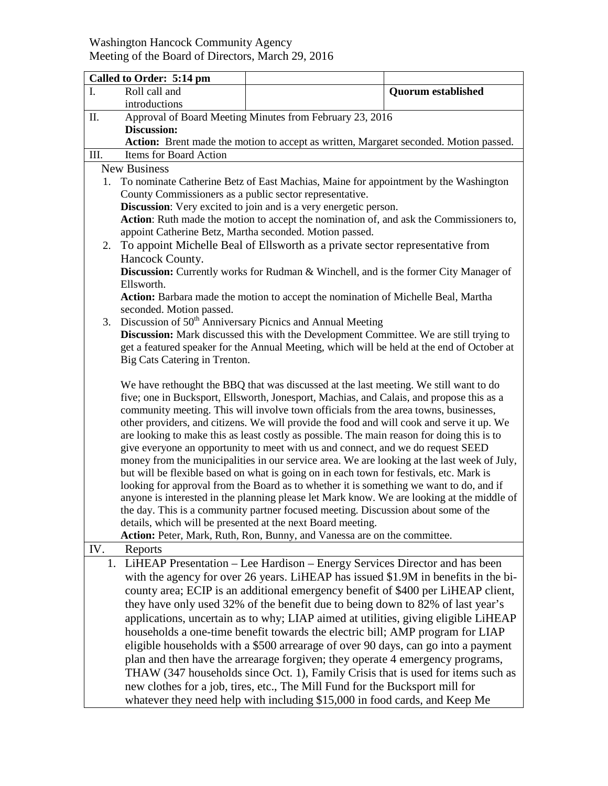## Washington Hancock Community Agency Meeting of the Board of Directors, March 29, 2016

|                     | Called to Order: 5:14 pm                                                                                                                                                                                                                                                                                                                                                                                                                                                                                                                                                                                                                                                                                                                                                                                                                                                                                                                                                                                                                                                                                                                                                     |                                                                                                                                                                                                                                                                                                                                                |                           |  |  |
|---------------------|------------------------------------------------------------------------------------------------------------------------------------------------------------------------------------------------------------------------------------------------------------------------------------------------------------------------------------------------------------------------------------------------------------------------------------------------------------------------------------------------------------------------------------------------------------------------------------------------------------------------------------------------------------------------------------------------------------------------------------------------------------------------------------------------------------------------------------------------------------------------------------------------------------------------------------------------------------------------------------------------------------------------------------------------------------------------------------------------------------------------------------------------------------------------------|------------------------------------------------------------------------------------------------------------------------------------------------------------------------------------------------------------------------------------------------------------------------------------------------------------------------------------------------|---------------------------|--|--|
| I.                  | Roll call and                                                                                                                                                                                                                                                                                                                                                                                                                                                                                                                                                                                                                                                                                                                                                                                                                                                                                                                                                                                                                                                                                                                                                                |                                                                                                                                                                                                                                                                                                                                                | <b>Quorum established</b> |  |  |
|                     | introductions                                                                                                                                                                                                                                                                                                                                                                                                                                                                                                                                                                                                                                                                                                                                                                                                                                                                                                                                                                                                                                                                                                                                                                |                                                                                                                                                                                                                                                                                                                                                |                           |  |  |
| Π.                  | Approval of Board Meeting Minutes from February 23, 2016                                                                                                                                                                                                                                                                                                                                                                                                                                                                                                                                                                                                                                                                                                                                                                                                                                                                                                                                                                                                                                                                                                                     |                                                                                                                                                                                                                                                                                                                                                |                           |  |  |
|                     | <b>Discussion:</b>                                                                                                                                                                                                                                                                                                                                                                                                                                                                                                                                                                                                                                                                                                                                                                                                                                                                                                                                                                                                                                                                                                                                                           |                                                                                                                                                                                                                                                                                                                                                |                           |  |  |
|                     |                                                                                                                                                                                                                                                                                                                                                                                                                                                                                                                                                                                                                                                                                                                                                                                                                                                                                                                                                                                                                                                                                                                                                                              | Action: Brent made the motion to accept as written, Margaret seconded. Motion passed.                                                                                                                                                                                                                                                          |                           |  |  |
| Ш.                  | Items for Board Action                                                                                                                                                                                                                                                                                                                                                                                                                                                                                                                                                                                                                                                                                                                                                                                                                                                                                                                                                                                                                                                                                                                                                       |                                                                                                                                                                                                                                                                                                                                                |                           |  |  |
| <b>New Business</b> |                                                                                                                                                                                                                                                                                                                                                                                                                                                                                                                                                                                                                                                                                                                                                                                                                                                                                                                                                                                                                                                                                                                                                                              |                                                                                                                                                                                                                                                                                                                                                |                           |  |  |
| 1.                  | To nominate Catherine Betz of East Machias, Maine for appointment by the Washington                                                                                                                                                                                                                                                                                                                                                                                                                                                                                                                                                                                                                                                                                                                                                                                                                                                                                                                                                                                                                                                                                          |                                                                                                                                                                                                                                                                                                                                                |                           |  |  |
|                     | County Commissioners as a public sector representative.                                                                                                                                                                                                                                                                                                                                                                                                                                                                                                                                                                                                                                                                                                                                                                                                                                                                                                                                                                                                                                                                                                                      |                                                                                                                                                                                                                                                                                                                                                |                           |  |  |
|                     | Discussion: Very excited to join and is a very energetic person.                                                                                                                                                                                                                                                                                                                                                                                                                                                                                                                                                                                                                                                                                                                                                                                                                                                                                                                                                                                                                                                                                                             |                                                                                                                                                                                                                                                                                                                                                |                           |  |  |
|                     | Action: Ruth made the motion to accept the nomination of, and ask the Commissioners to,                                                                                                                                                                                                                                                                                                                                                                                                                                                                                                                                                                                                                                                                                                                                                                                                                                                                                                                                                                                                                                                                                      |                                                                                                                                                                                                                                                                                                                                                |                           |  |  |
| 2.                  | appoint Catherine Betz, Martha seconded. Motion passed.<br>To appoint Michelle Beal of Ellsworth as a private sector representative from                                                                                                                                                                                                                                                                                                                                                                                                                                                                                                                                                                                                                                                                                                                                                                                                                                                                                                                                                                                                                                     |                                                                                                                                                                                                                                                                                                                                                |                           |  |  |
|                     |                                                                                                                                                                                                                                                                                                                                                                                                                                                                                                                                                                                                                                                                                                                                                                                                                                                                                                                                                                                                                                                                                                                                                                              |                                                                                                                                                                                                                                                                                                                                                |                           |  |  |
|                     | Hancock County.                                                                                                                                                                                                                                                                                                                                                                                                                                                                                                                                                                                                                                                                                                                                                                                                                                                                                                                                                                                                                                                                                                                                                              |                                                                                                                                                                                                                                                                                                                                                |                           |  |  |
|                     | Discussion: Currently works for Rudman & Winchell, and is the former City Manager of<br>Ellsworth.                                                                                                                                                                                                                                                                                                                                                                                                                                                                                                                                                                                                                                                                                                                                                                                                                                                                                                                                                                                                                                                                           |                                                                                                                                                                                                                                                                                                                                                |                           |  |  |
|                     | Action: Barbara made the motion to accept the nomination of Michelle Beal, Martha                                                                                                                                                                                                                                                                                                                                                                                                                                                                                                                                                                                                                                                                                                                                                                                                                                                                                                                                                                                                                                                                                            |                                                                                                                                                                                                                                                                                                                                                |                           |  |  |
|                     | seconded. Motion passed.                                                                                                                                                                                                                                                                                                                                                                                                                                                                                                                                                                                                                                                                                                                                                                                                                                                                                                                                                                                                                                                                                                                                                     |                                                                                                                                                                                                                                                                                                                                                |                           |  |  |
| 3.                  | Discussion of 50 <sup>th</sup> Anniversary Picnics and Annual Meeting                                                                                                                                                                                                                                                                                                                                                                                                                                                                                                                                                                                                                                                                                                                                                                                                                                                                                                                                                                                                                                                                                                        |                                                                                                                                                                                                                                                                                                                                                |                           |  |  |
|                     | Discussion: Mark discussed this with the Development Committee. We are still trying to                                                                                                                                                                                                                                                                                                                                                                                                                                                                                                                                                                                                                                                                                                                                                                                                                                                                                                                                                                                                                                                                                       |                                                                                                                                                                                                                                                                                                                                                |                           |  |  |
|                     | get a featured speaker for the Annual Meeting, which will be held at the end of October at                                                                                                                                                                                                                                                                                                                                                                                                                                                                                                                                                                                                                                                                                                                                                                                                                                                                                                                                                                                                                                                                                   |                                                                                                                                                                                                                                                                                                                                                |                           |  |  |
|                     | Big Cats Catering in Trenton.                                                                                                                                                                                                                                                                                                                                                                                                                                                                                                                                                                                                                                                                                                                                                                                                                                                                                                                                                                                                                                                                                                                                                |                                                                                                                                                                                                                                                                                                                                                |                           |  |  |
|                     | We have rethought the BBQ that was discussed at the last meeting. We still want to do<br>five; one in Bucksport, Ellsworth, Jonesport, Machias, and Calais, and propose this as a<br>community meeting. This will involve town officials from the area towns, businesses,<br>other providers, and citizens. We will provide the food and will cook and serve it up. We<br>are looking to make this as least costly as possible. The main reason for doing this is to<br>give everyone an opportunity to meet with us and connect, and we do request SEED<br>money from the municipalities in our service area. We are looking at the last week of July,<br>but will be flexible based on what is going on in each town for festivals, etc. Mark is<br>looking for approval from the Board as to whether it is something we want to do, and if<br>anyone is interested in the planning please let Mark know. We are looking at the middle of<br>the day. This is a community partner focused meeting. Discussion about some of the<br>details, which will be presented at the next Board meeting.<br>Action: Peter, Mark, Ruth, Ron, Bunny, and Vanessa are on the committee. |                                                                                                                                                                                                                                                                                                                                                |                           |  |  |
| IV.                 | Reports                                                                                                                                                                                                                                                                                                                                                                                                                                                                                                                                                                                                                                                                                                                                                                                                                                                                                                                                                                                                                                                                                                                                                                      |                                                                                                                                                                                                                                                                                                                                                |                           |  |  |
| 1.                  |                                                                                                                                                                                                                                                                                                                                                                                                                                                                                                                                                                                                                                                                                                                                                                                                                                                                                                                                                                                                                                                                                                                                                                              | LiHEAP Presentation – Lee Hardison – Energy Services Director and has been                                                                                                                                                                                                                                                                     |                           |  |  |
|                     |                                                                                                                                                                                                                                                                                                                                                                                                                                                                                                                                                                                                                                                                                                                                                                                                                                                                                                                                                                                                                                                                                                                                                                              | with the agency for over 26 years. LiHEAP has issued \$1.9M in benefits in the bi-<br>county area; ECIP is an additional emergency benefit of \$400 per LiHEAP client,<br>they have only used 32% of the benefit due to being down to 82% of last year's<br>applications, uncertain as to why; LIAP aimed at utilities, giving eligible LiHEAP |                           |  |  |
|                     |                                                                                                                                                                                                                                                                                                                                                                                                                                                                                                                                                                                                                                                                                                                                                                                                                                                                                                                                                                                                                                                                                                                                                                              | households a one-time benefit towards the electric bill; AMP program for LIAP                                                                                                                                                                                                                                                                  |                           |  |  |
|                     |                                                                                                                                                                                                                                                                                                                                                                                                                                                                                                                                                                                                                                                                                                                                                                                                                                                                                                                                                                                                                                                                                                                                                                              | eligible households with a \$500 arrearage of over 90 days, can go into a payment                                                                                                                                                                                                                                                              |                           |  |  |
|                     |                                                                                                                                                                                                                                                                                                                                                                                                                                                                                                                                                                                                                                                                                                                                                                                                                                                                                                                                                                                                                                                                                                                                                                              | plan and then have the arrearage forgiven; they operate 4 emergency programs,                                                                                                                                                                                                                                                                  |                           |  |  |
|                     |                                                                                                                                                                                                                                                                                                                                                                                                                                                                                                                                                                                                                                                                                                                                                                                                                                                                                                                                                                                                                                                                                                                                                                              | THAW (347 households since Oct. 1), Family Crisis that is used for items such as                                                                                                                                                                                                                                                               |                           |  |  |
|                     |                                                                                                                                                                                                                                                                                                                                                                                                                                                                                                                                                                                                                                                                                                                                                                                                                                                                                                                                                                                                                                                                                                                                                                              | new clothes for a job, tires, etc., The Mill Fund for the Bucksport mill for                                                                                                                                                                                                                                                                   |                           |  |  |
|                     |                                                                                                                                                                                                                                                                                                                                                                                                                                                                                                                                                                                                                                                                                                                                                                                                                                                                                                                                                                                                                                                                                                                                                                              | whatever they need help with including \$15,000 in food cards, and Keep Me                                                                                                                                                                                                                                                                     |                           |  |  |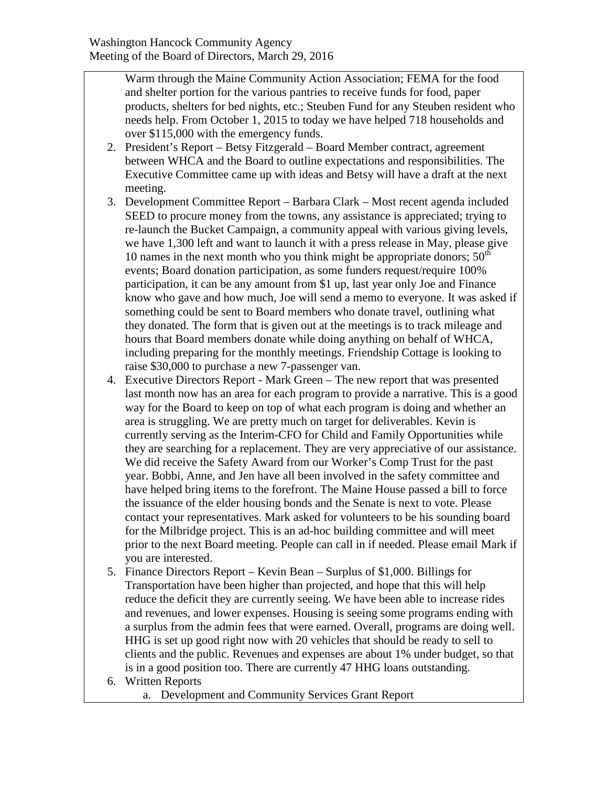Warm through the Maine Community Action Association; FEMA for the food and shelter portion for the various pantries to receive funds for food, paper products, shelters for bed nights, etc.; Steuben Fund for any Steuben resident who needs help. From October 1, 2015 to today we have helped 718 households and over \$115,000 with the emergency funds.

- 2. President's Report Betsy Fitzgerald Board Member contract, agreement between WHCA and the Board to outline expectations and responsibilities. The Executive Committee came up with ideas and Betsy will have a draft at the next meeting.
- 3. Development Committee Report Barbara Clark Most recent agenda included SEED to procure money from the towns, any assistance is appreciated; trying to re-launch the Bucket Campaign, a community appeal with various giving levels, we have 1,300 left and want to launch it with a press release in May, please give 10 names in the next month who you think might be appropriate donors;  $50<sup>th</sup>$ events; Board donation participation, as some funders request/require 100% participation, it can be any amount from \$1 up, last year only Joe and Finance know who gave and how much, Joe will send a memo to everyone. It was asked if something could be sent to Board members who donate travel, outlining what they donated. The form that is given out at the meetings is to track mileage and hours that Board members donate while doing anything on behalf of WHCA, including preparing for the monthly meetings. Friendship Cottage is looking to raise \$30,000 to purchase a new 7-passenger van.
- 4. Executive Directors Report Mark Green The new report that was presented last month now has an area for each program to provide a narrative. This is a good way for the Board to keep on top of what each program is doing and whether an area is struggling. We are pretty much on target for deliverables. Kevin is currently serving as the Interim-CFO for Child and Family Opportunities while they are searching for a replacement. They are very appreciative of our assistance. We did receive the Safety Award from our Worker's Comp Trust for the past year. Bobbi, Anne, and Jen have all been involved in the safety committee and have helped bring items to the forefront. The Maine House passed a bill to force the issuance of the elder housing bonds and the Senate is next to vote. Please contact your representatives. Mark asked for volunteers to be his sounding board for the Milbridge project. This is an ad-hoc building committee and will meet prior to the next Board meeting. People can call in if needed. Please email Mark if you are interested.
- 5. Finance Directors Report Kevin Bean Surplus of \$1,000. Billings for Transportation have been higher than projected, and hope that this will help reduce the deficit they are currently seeing. We have been able to increase rides and revenues, and lower expenses. Housing is seeing some programs ending with a surplus from the admin fees that were earned. Overall, programs are doing well. HHG is set up good right now with 20 vehicles that should be ready to sell to clients and the public. Revenues and expenses are about 1% under budget, so that is in a good position too. There are currently 47 HHG loans outstanding.
- 6. Written Reports
	- a. Development and Community Services Grant Report